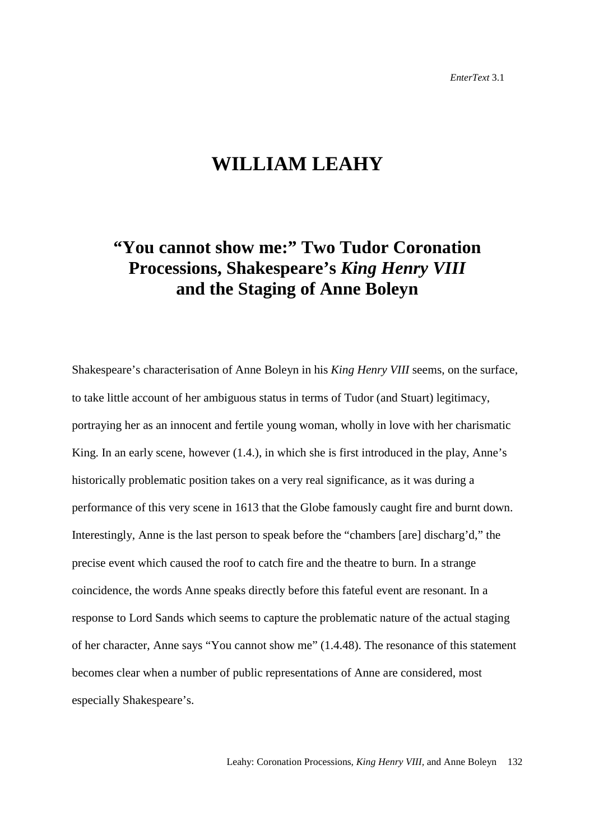## **WILLIAM LEAHY**

## **"You cannot show me:" Two Tudor Coronation Processions, Shakespeare's** *King Henry VIII* **and the Staging of Anne Boleyn**

Shakespeare's characterisation of Anne Boleyn in his *King Henry VIII* seems, on the surface, to take little account of her ambiguous status in terms of Tudor (and Stuart) legitimacy, portraying her as an innocent and fertile young woman, wholly in love with her charismatic King. In an early scene, however (1.4.), in which she is first introduced in the play, Anne's historically problematic position takes on a very real significance, as it was during a performance of this very scene in 1613 that the Globe famously caught fire and burnt down. Interestingly, Anne is the last person to speak before the "chambers [are] discharg'd," the precise event which caused the roof to catch fire and the theatre to burn. In a strange coincidence, the words Anne speaks directly before this fateful event are resonant. In a response to Lord Sands which seems to capture the problematic nature of the actual staging of her character, Anne says "You cannot show me" (1.4.48). The resonance of this statement becomes clear when a number of public representations of Anne are considered, most especially Shakespeare's.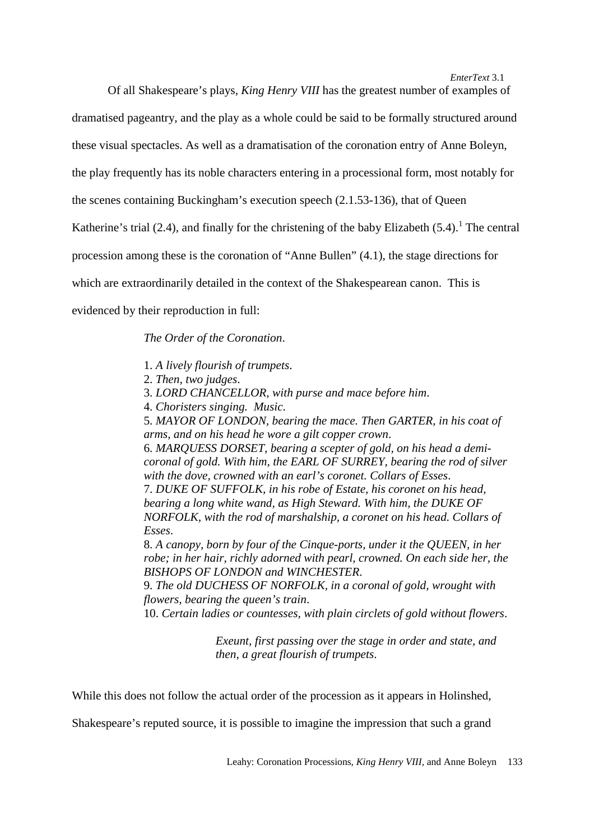Of all Shakespeare's plays, *King Henry VIII* has the greatest number of examples of

dramatised pageantry, and the play as a whole could be said to be formally structured around

these visual spectacles. As well as a dramatisation of the coronation entry of Anne Boleyn,

the play frequently has its noble characters entering in a processional form, most notably for

the scenes containing Buckingham's execution speech (2.1.53-136), that of Queen

Katherine's trial (2.4), and finally for the christening of the baby Elizabeth (5.4).<sup>1</sup> The central

procession among these is the coronation of "Anne Bullen" (4.1), the stage directions for

which are extraordinarily detailed in the context of the Shakespearean canon. This is

evidenced by their reproduction in full:

*The Order of the Coronation*.

- 1. *A lively flourish of trumpets*.
- 2. *Then, two judges*.
- 3. *LORD CHANCELLOR, with purse and mace before him*.
- 4. *Choristers singing. Music*.

5. *MAYOR OF LONDON, bearing the mace. Then GARTER, in his coat of arms, and on his head he wore a gilt copper crown*.

6. *MARQUESS DORSET, bearing a scepter of gold, on his head a demicoronal of gold. With him, the EARL OF SURREY, bearing the rod of silver with the dove, crowned with an earl's coronet. Collars of Esses*.

7. *DUKE OF SUFFOLK, in his robe of Estate, his coronet on his head, bearing a long white wand, as High Steward. With him, the DUKE OF NORFOLK, with the rod of marshalship, a coronet on his head. Collars of Esses*.

8. *A canopy, born by four of the Cinque-ports, under it the QUEEN, in her robe; in her hair, richly adorned with pearl, crowned. On each side her, the BISHOPS OF LONDON and WINCHESTER*.

9. *The old DUCHESS OF NORFOLK, in a coronal of gold, wrought with flowers, bearing the queen's train*.

10. *Certain ladies or countesses, with plain circlets of gold without flowers*.

*Exeunt, first passing over the stage in order and state, and then, a great flourish of trumpets*.

While this does not follow the actual order of the procession as it appears in Holinshed,

Shakespeare's reputed source, it is possible to imagine the impression that such a grand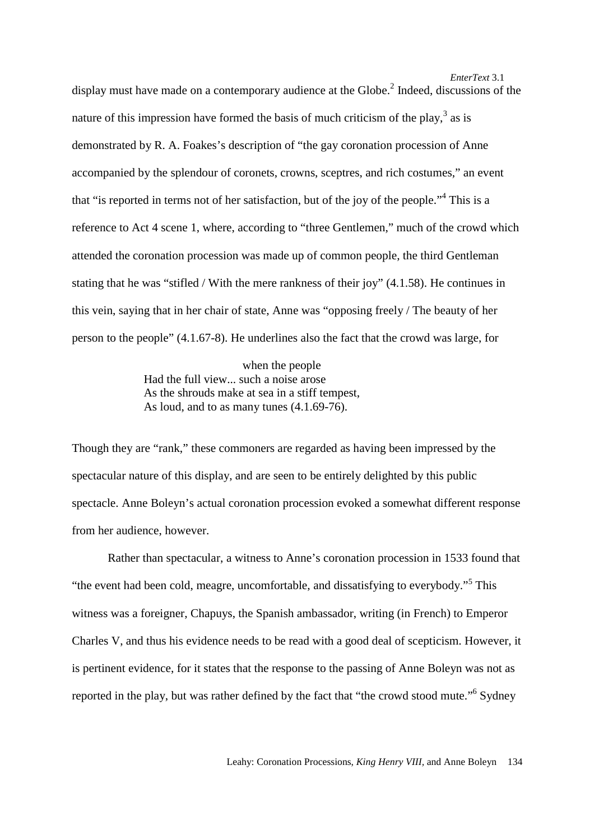display must have made on a contemporary audience at the Globe.<sup>2</sup> Indeed, discussions of the nature of this impression have formed the basis of much criticism of the play,  $3$  as is demonstrated by R. A. Foakes's description of "the gay coronation procession of Anne accompanied by the splendour of coronets, crowns, sceptres, and rich costumes," an event that "is reported in terms not of her satisfaction, but of the joy of the people."<sup>4</sup> This is a reference to Act 4 scene 1, where, according to "three Gentlemen," much of the crowd which attended the coronation procession was made up of common people, the third Gentleman stating that he was "stifled / With the mere rankness of their joy" (4.1.58). He continues in this vein, saying that in her chair of state, Anne was "opposing freely / The beauty of her person to the people" (4.1.67-8). He underlines also the fact that the crowd was large, for

> when the people Had the full view... such a noise arose As the shrouds make at sea in a stiff tempest, As loud, and to as many tunes (4.1.69-76).

Though they are "rank," these commoners are regarded as having been impressed by the spectacular nature of this display, and are seen to be entirely delighted by this public spectacle. Anne Boleyn's actual coronation procession evoked a somewhat different response from her audience, however.

Rather than spectacular, a witness to Anne's coronation procession in 1533 found that "the event had been cold, meagre, uncomfortable, and dissatisfying to everybody."<sup>5</sup> This witness was a foreigner, Chapuys, the Spanish ambassador, writing (in French) to Emperor Charles V, and thus his evidence needs to be read with a good deal of scepticism. However, it is pertinent evidence, for it states that the response to the passing of Anne Boleyn was not as reported in the play, but was rather defined by the fact that "the crowd stood mute."<sup>6</sup> Sydney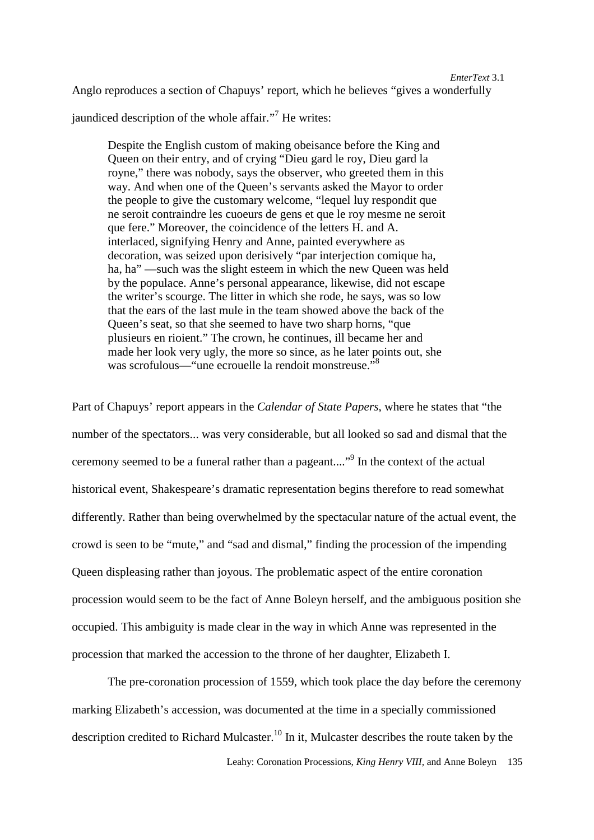Anglo reproduces a section of Chapuys' report, which he believes "gives a wonderfully

jaundiced description of the whole affair."<sup>7</sup> He writes:

Despite the English custom of making obeisance before the King and Queen on their entry, and of crying "Dieu gard le roy, Dieu gard la royne," there was nobody, says the observer, who greeted them in this way. And when one of the Queen's servants asked the Mayor to order the people to give the customary welcome, "lequel luy respondit que ne seroit contraindre les cuoeurs de gens et que le roy mesme ne seroit que fere." Moreover, the coincidence of the letters H. and A. interlaced, signifying Henry and Anne, painted everywhere as decoration, was seized upon derisively "par interjection comique ha, ha, ha" —such was the slight esteem in which the new Queen was held by the populace. Anne's personal appearance, likewise, did not escape the writer's scourge. The litter in which she rode, he says, was so low that the ears of the last mule in the team showed above the back of the Queen's seat, so that she seemed to have two sharp horns, "que plusieurs en rioient." The crown, he continues, ill became her and made her look very ugly, the more so since, as he later points out, she was scrofulous—"une ecrouelle la rendoit monstreuse."<sup>8</sup>

Part of Chapuys' report appears in the *Calendar of State Papers*, where he states that "the number of the spectators... was very considerable, but all looked so sad and dismal that the ceremony seemed to be a funeral rather than a pageant...."<sup>9</sup> In the context of the actual historical event, Shakespeare's dramatic representation begins therefore to read somewhat differently. Rather than being overwhelmed by the spectacular nature of the actual event, the crowd is seen to be "mute," and "sad and dismal," finding the procession of the impending Queen displeasing rather than joyous. The problematic aspect of the entire coronation procession would seem to be the fact of Anne Boleyn herself, and the ambiguous position she occupied. This ambiguity is made clear in the way in which Anne was represented in the procession that marked the accession to the throne of her daughter, Elizabeth I.

The pre-coronation procession of 1559, which took place the day before the ceremony marking Elizabeth's accession, was documented at the time in a specially commissioned description credited to Richard Mulcaster.<sup>10</sup> In it, Mulcaster describes the route taken by the

Leahy: Coronation Processions, *King Henry VIII,* and Anne Boleyn 135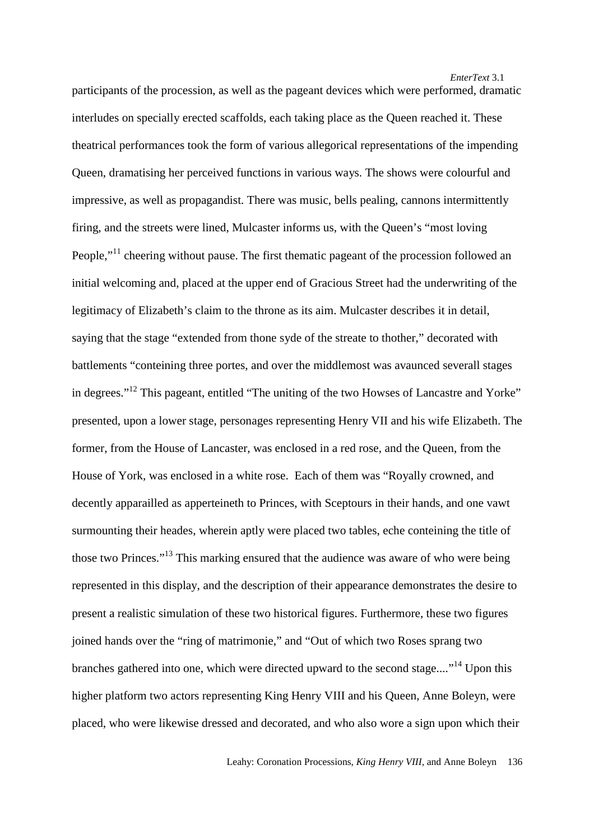participants of the procession, as well as the pageant devices which were performed, dramatic interludes on specially erected scaffolds, each taking place as the Queen reached it. These theatrical performances took the form of various allegorical representations of the impending Queen, dramatising her perceived functions in various ways. The shows were colourful and impressive, as well as propagandist. There was music, bells pealing, cannons intermittently firing, and the streets were lined, Mulcaster informs us, with the Queen's "most loving People,"<sup>11</sup> cheering without pause. The first thematic pageant of the procession followed an initial welcoming and, placed at the upper end of Gracious Street had the underwriting of the legitimacy of Elizabeth's claim to the throne as its aim. Mulcaster describes it in detail, saying that the stage "extended from thone syde of the streate to thother," decorated with battlements "conteining three portes, and over the middlemost was avaunced severall stages in degrees."12 This pageant, entitled "The uniting of the two Howses of Lancastre and Yorke" presented, upon a lower stage, personages representing Henry VII and his wife Elizabeth. The former, from the House of Lancaster, was enclosed in a red rose, and the Queen, from the House of York, was enclosed in a white rose. Each of them was "Royally crowned, and decently apparailled as apperteineth to Princes, with Sceptours in their hands, and one vawt surmounting their heades, wherein aptly were placed two tables, eche conteining the title of those two Princes."<sup>13</sup> This marking ensured that the audience was aware of who were being represented in this display, and the description of their appearance demonstrates the desire to present a realistic simulation of these two historical figures. Furthermore, these two figures joined hands over the "ring of matrimonie," and "Out of which two Roses sprang two branches gathered into one, which were directed upward to the second stage...."14 Upon this higher platform two actors representing King Henry VIII and his Queen, Anne Boleyn, were placed, who were likewise dressed and decorated, and who also wore a sign upon which their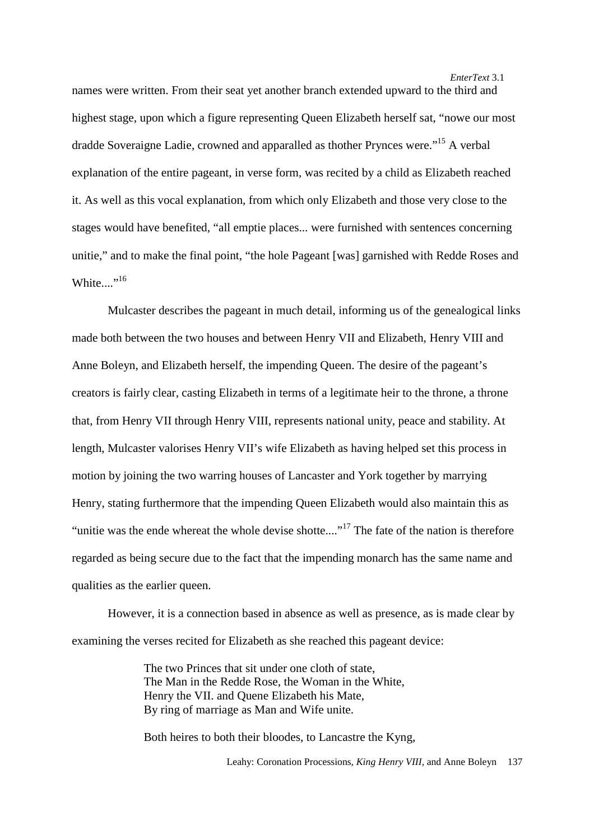names were written. From their seat yet another branch extended upward to the third and highest stage, upon which a figure representing Queen Elizabeth herself sat, "nowe our most dradde Soveraigne Ladie, crowned and apparalled as thother Prynces were."15 A verbal explanation of the entire pageant, in verse form, was recited by a child as Elizabeth reached it. As well as this vocal explanation, from which only Elizabeth and those very close to the stages would have benefited, "all emptie places... were furnished with sentences concerning unitie," and to make the final point, "the hole Pageant [was] garnished with Redde Roses and White... $\cdot$ <sup>16</sup>

Mulcaster describes the pageant in much detail, informing us of the genealogical links made both between the two houses and between Henry VII and Elizabeth, Henry VIII and Anne Boleyn, and Elizabeth herself, the impending Queen. The desire of the pageant's creators is fairly clear, casting Elizabeth in terms of a legitimate heir to the throne, a throne that, from Henry VII through Henry VIII, represents national unity, peace and stability. At length, Mulcaster valorises Henry VII's wife Elizabeth as having helped set this process in motion by joining the two warring houses of Lancaster and York together by marrying Henry, stating furthermore that the impending Queen Elizabeth would also maintain this as "unitie was the ende whereat the whole devise shotte...."<sup>17</sup> The fate of the nation is therefore regarded as being secure due to the fact that the impending monarch has the same name and qualities as the earlier queen.

However, it is a connection based in absence as well as presence, as is made clear by examining the verses recited for Elizabeth as she reached this pageant device:

> The two Princes that sit under one cloth of state, The Man in the Redde Rose, the Woman in the White, Henry the VII. and Quene Elizabeth his Mate, By ring of marriage as Man and Wife unite.

Both heires to both their bloodes, to Lancastre the Kyng,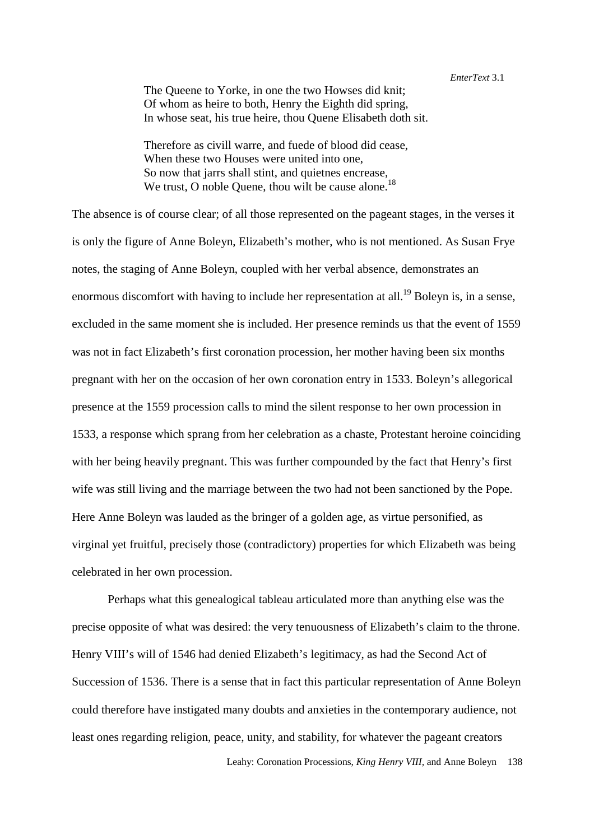The Queene to Yorke, in one the two Howses did knit; Of whom as heire to both, Henry the Eighth did spring, In whose seat, his true heire, thou Quene Elisabeth doth sit.

Therefore as civill warre, and fuede of blood did cease, When these two Houses were united into one. So now that jarrs shall stint, and quietnes encrease, We trust, O noble Quene, thou wilt be cause alone.<sup>18</sup>

The absence is of course clear; of all those represented on the pageant stages, in the verses it is only the figure of Anne Boleyn, Elizabeth's mother, who is not mentioned. As Susan Frye notes, the staging of Anne Boleyn, coupled with her verbal absence, demonstrates an enormous discomfort with having to include her representation at all.<sup>19</sup> Boleyn is, in a sense, excluded in the same moment she is included. Her presence reminds us that the event of 1559 was not in fact Elizabeth's first coronation procession, her mother having been six months pregnant with her on the occasion of her own coronation entry in 1533. Boleyn's allegorical presence at the 1559 procession calls to mind the silent response to her own procession in 1533, a response which sprang from her celebration as a chaste, Protestant heroine coinciding with her being heavily pregnant. This was further compounded by the fact that Henry's first wife was still living and the marriage between the two had not been sanctioned by the Pope. Here Anne Boleyn was lauded as the bringer of a golden age, as virtue personified, as virginal yet fruitful, precisely those (contradictory) properties for which Elizabeth was being celebrated in her own procession.

Perhaps what this genealogical tableau articulated more than anything else was the precise opposite of what was desired: the very tenuousness of Elizabeth's claim to the throne. Henry VIII's will of 1546 had denied Elizabeth's legitimacy, as had the Second Act of Succession of 1536. There is a sense that in fact this particular representation of Anne Boleyn could therefore have instigated many doubts and anxieties in the contemporary audience, not least ones regarding religion, peace, unity, and stability, for whatever the pageant creators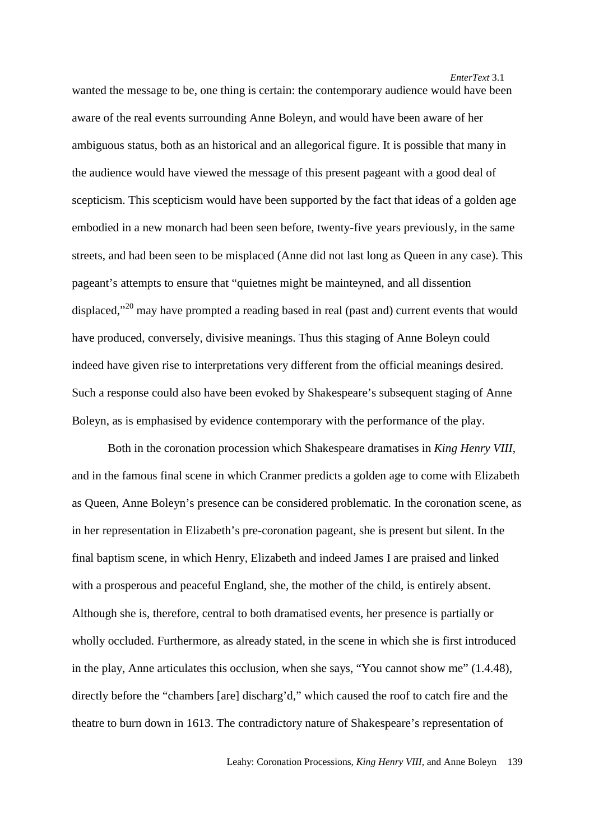wanted the message to be, one thing is certain: the contemporary audience would have been aware of the real events surrounding Anne Boleyn, and would have been aware of her ambiguous status, both as an historical and an allegorical figure. It is possible that many in the audience would have viewed the message of this present pageant with a good deal of scepticism. This scepticism would have been supported by the fact that ideas of a golden age embodied in a new monarch had been seen before, twenty-five years previously, in the same streets, and had been seen to be misplaced (Anne did not last long as Queen in any case). This pageant's attempts to ensure that "quietnes might be mainteyned, and all dissention displaced,"<sup>20</sup> may have prompted a reading based in real (past and) current events that would have produced, conversely, divisive meanings. Thus this staging of Anne Boleyn could indeed have given rise to interpretations very different from the official meanings desired. Such a response could also have been evoked by Shakespeare's subsequent staging of Anne Boleyn, as is emphasised by evidence contemporary with the performance of the play.

Both in the coronation procession which Shakespeare dramatises in *King Henry VIII*, and in the famous final scene in which Cranmer predicts a golden age to come with Elizabeth as Queen, Anne Boleyn's presence can be considered problematic. In the coronation scene, as in her representation in Elizabeth's pre-coronation pageant, she is present but silent. In the final baptism scene, in which Henry, Elizabeth and indeed James I are praised and linked with a prosperous and peaceful England, she, the mother of the child, is entirely absent. Although she is, therefore, central to both dramatised events, her presence is partially or wholly occluded. Furthermore, as already stated, in the scene in which she is first introduced in the play, Anne articulates this occlusion, when she says, "You cannot show me" (1.4.48), directly before the "chambers [are] discharg'd," which caused the roof to catch fire and the theatre to burn down in 1613. The contradictory nature of Shakespeare's representation of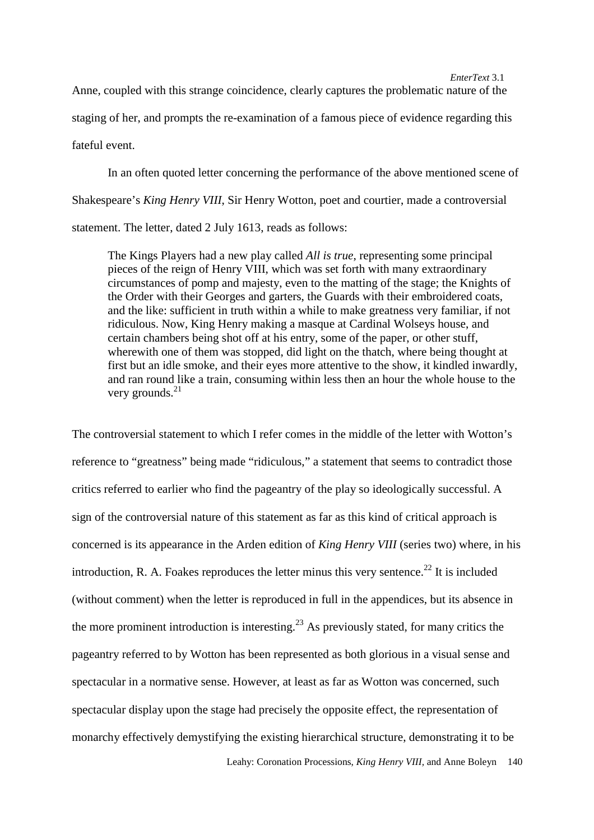Anne, coupled with this strange coincidence, clearly captures the problematic nature of the staging of her, and prompts the re-examination of a famous piece of evidence regarding this fateful event.

In an often quoted letter concerning the performance of the above mentioned scene of Shakespeare's *King Henry VIII*, Sir Henry Wotton, poet and courtier, made a controversial statement. The letter, dated 2 July 1613, reads as follows:

The Kings Players had a new play called *All is true*, representing some principal pieces of the reign of Henry VIII, which was set forth with many extraordinary circumstances of pomp and majesty, even to the matting of the stage; the Knights of the Order with their Georges and garters, the Guards with their embroidered coats, and the like: sufficient in truth within a while to make greatness very familiar, if not ridiculous. Now, King Henry making a masque at Cardinal Wolseys house, and certain chambers being shot off at his entry, some of the paper, or other stuff, wherewith one of them was stopped, did light on the thatch, where being thought at first but an idle smoke, and their eyes more attentive to the show, it kindled inwardly, and ran round like a train, consuming within less then an hour the whole house to the very grounds.<sup>21</sup>

The controversial statement to which I refer comes in the middle of the letter with Wotton's reference to "greatness" being made "ridiculous," a statement that seems to contradict those critics referred to earlier who find the pageantry of the play so ideologically successful. A sign of the controversial nature of this statement as far as this kind of critical approach is concerned is its appearance in the Arden edition of *King Henry VIII* (series two) where, in his introduction, R. A. Foakes reproduces the letter minus this very sentence.<sup>22</sup> It is included (without comment) when the letter is reproduced in full in the appendices, but its absence in the more prominent introduction is interesting.<sup>23</sup> As previously stated, for many critics the pageantry referred to by Wotton has been represented as both glorious in a visual sense and spectacular in a normative sense. However, at least as far as Wotton was concerned, such spectacular display upon the stage had precisely the opposite effect, the representation of monarchy effectively demystifying the existing hierarchical structure, demonstrating it to be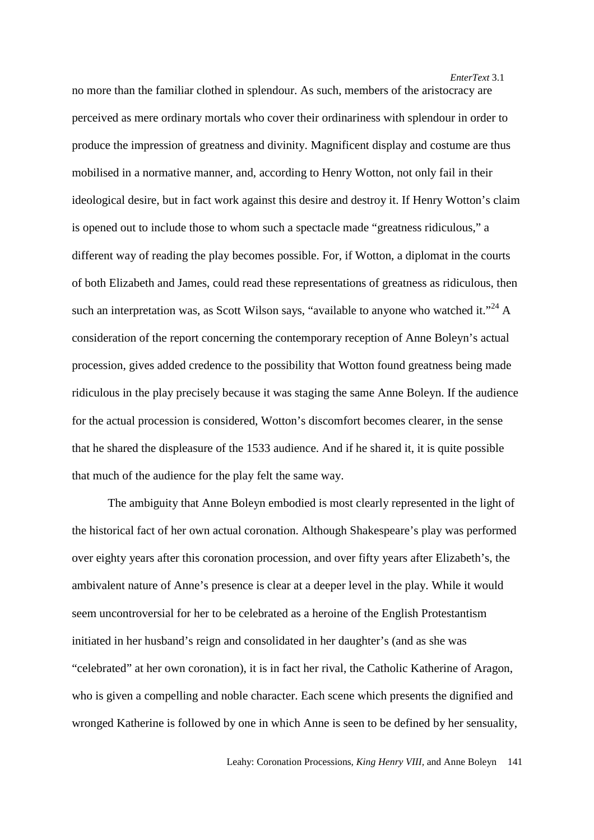no more than the familiar clothed in splendour. As such, members of the aristocracy are perceived as mere ordinary mortals who cover their ordinariness with splendour in order to produce the impression of greatness and divinity. Magnificent display and costume are thus mobilised in a normative manner, and, according to Henry Wotton, not only fail in their ideological desire, but in fact work against this desire and destroy it. If Henry Wotton's claim is opened out to include those to whom such a spectacle made "greatness ridiculous," a different way of reading the play becomes possible. For, if Wotton, a diplomat in the courts of both Elizabeth and James, could read these representations of greatness as ridiculous, then such an interpretation was, as Scott Wilson says, "available to anyone who watched it."<sup>24</sup> A consideration of the report concerning the contemporary reception of Anne Boleyn's actual procession, gives added credence to the possibility that Wotton found greatness being made ridiculous in the play precisely because it was staging the same Anne Boleyn. If the audience for the actual procession is considered, Wotton's discomfort becomes clearer, in the sense that he shared the displeasure of the 1533 audience. And if he shared it, it is quite possible that much of the audience for the play felt the same way.

The ambiguity that Anne Boleyn embodied is most clearly represented in the light of the historical fact of her own actual coronation. Although Shakespeare's play was performed over eighty years after this coronation procession, and over fifty years after Elizabeth's, the ambivalent nature of Anne's presence is clear at a deeper level in the play. While it would seem uncontroversial for her to be celebrated as a heroine of the English Protestantism initiated in her husband's reign and consolidated in her daughter's (and as she was "celebrated" at her own coronation), it is in fact her rival, the Catholic Katherine of Aragon, who is given a compelling and noble character. Each scene which presents the dignified and wronged Katherine is followed by one in which Anne is seen to be defined by her sensuality,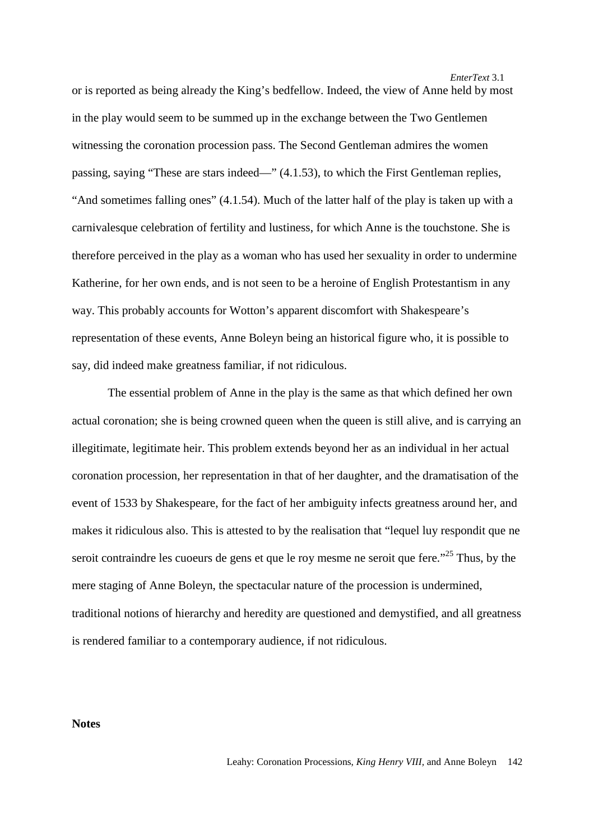or is reported as being already the King's bedfellow. Indeed, the view of Anne held by most in the play would seem to be summed up in the exchange between the Two Gentlemen witnessing the coronation procession pass. The Second Gentleman admires the women passing, saying "These are stars indeed—" (4.1.53), to which the First Gentleman replies, "And sometimes falling ones" (4.1.54). Much of the latter half of the play is taken up with a carnivalesque celebration of fertility and lustiness, for which Anne is the touchstone. She is therefore perceived in the play as a woman who has used her sexuality in order to undermine Katherine, for her own ends, and is not seen to be a heroine of English Protestantism in any way. This probably accounts for Wotton's apparent discomfort with Shakespeare's representation of these events, Anne Boleyn being an historical figure who, it is possible to say, did indeed make greatness familiar, if not ridiculous.

The essential problem of Anne in the play is the same as that which defined her own actual coronation; she is being crowned queen when the queen is still alive, and is carrying an illegitimate, legitimate heir. This problem extends beyond her as an individual in her actual coronation procession, her representation in that of her daughter, and the dramatisation of the event of 1533 by Shakespeare, for the fact of her ambiguity infects greatness around her, and makes it ridiculous also. This is attested to by the realisation that "lequel luy respondit que ne seroit contraindre les cuoeurs de gens et que le roy mesme ne seroit que fere. $25$  Thus, by the mere staging of Anne Boleyn, the spectacular nature of the procession is undermined, traditional notions of hierarchy and heredity are questioned and demystified, and all greatness is rendered familiar to a contemporary audience, if not ridiculous.

**Notes**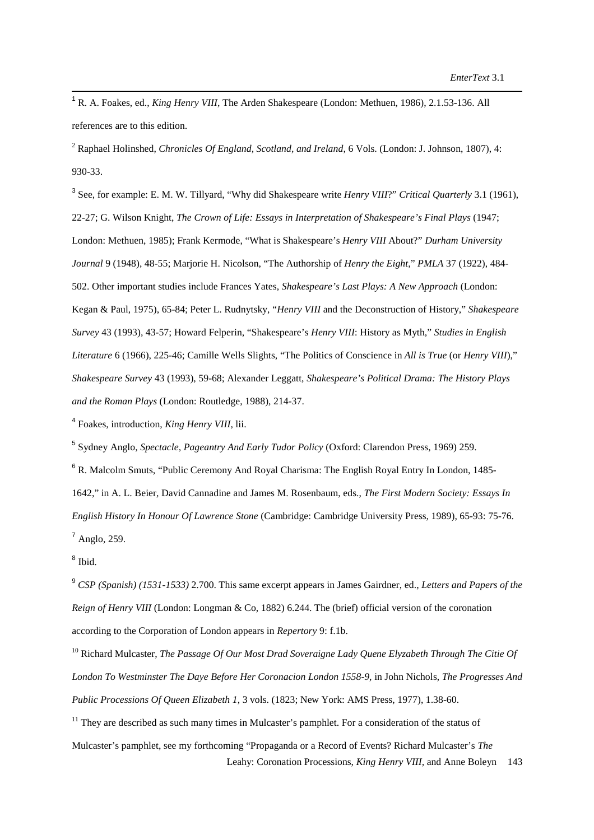<sup>1</sup> R. A. Foakes, ed., *King Henry VIII*, The Arden Shakespeare (London: Methuen, 1986), 2.1.53-136. All references are to this edition.

2 Raphael Holinshed, *Chronicles Of England, Scotland, and Ireland*, 6 Vols. (London: J. Johnson, 1807), 4: 930-33.

3 See, for example: E. M. W. Tillyard, "Why did Shakespeare write *Henry VIII*?" *Critical Quarterly* 3.1 (1961), 22-27; G. Wilson Knight, *The Crown of Life: Essays in Interpretation of Shakespeare's Final Plays* (1947; London: Methuen, 1985); Frank Kermode, "What is Shakespeare's *Henry VIII* About?" *Durham University Journal* 9 (1948), 48-55; Marjorie H. Nicolson, "The Authorship of *Henry the Eight*," *PMLA* 37 (1922), 484- 502. Other important studies include Frances Yates, *Shakespeare's Last Plays: A New Approach* (London: Kegan & Paul, 1975), 65-84; Peter L. Rudnytsky, "*Henry VIII* and the Deconstruction of History," *Shakespeare Survey* 43 (1993), 43-57; Howard Felperin, "Shakespeare's *Henry VIII*: History as Myth," *Studies in English Literature* 6 (1966), 225-46; Camille Wells Slights, "The Politics of Conscience in *All is True* (or *Henry VIII*)," *Shakespeare Survey* 43 (1993), 59-68; Alexander Leggatt, *Shakespeare's Political Drama: The History Plays and the Roman Plays* (London: Routledge, 1988), 214-37.

4 Foakes, introduction, *King Henry VIII*, lii.

5 Sydney Anglo, *Spectacle, Pageantry And Early Tudor Policy* (Oxford: Clarendon Press, 1969) 259.

<sup>6</sup> R. Malcolm Smuts, "Public Ceremony And Royal Charisma: The English Royal Entry In London, 1485-1642," in A. L. Beier, David Cannadine and James M. Rosenbaum, eds., *The First Modern Society: Essays In English History In Honour Of Lawrence Stone* (Cambridge: Cambridge University Press, 1989), 65-93: 75-76. <sup>7</sup> Anglo, 259.

<sup>8</sup> Ibid.

9  *CSP (Spanish) (1531-1533)* 2.700. This same excerpt appears in James Gairdner, ed., *Letters and Papers of the Reign of Henry VIII* (London: Longman & Co, 1882) 6.244. The (brief) official version of the coronation according to the Corporation of London appears in *Repertory* 9: f.1b.

10 Richard Mulcaster, *The Passage Of Our Most Drad Soveraigne Lady Quene Elyzabeth Through The Citie Of London To Westminster The Daye Before Her Coronacion London 1558-9,* in John Nichols, *The Progresses And Public Processions Of Queen Elizabeth 1*, 3 vols. (1823; New York: AMS Press, 1977), 1.38-60.

 Leahy: Coronation Processions, *King Henry VIII,* and Anne Boleyn 143  $11$  They are described as such many times in Mulcaster's pamphlet. For a consideration of the status of Mulcaster's pamphlet, see my forthcoming "Propaganda or a Record of Events? Richard Mulcaster's *The*